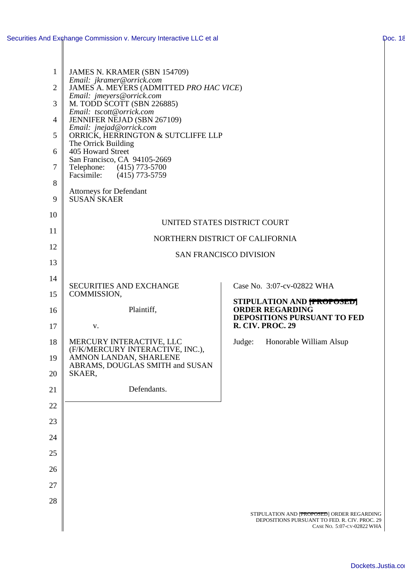| $\mathbf{1}$<br>$\overline{2}$ | JAMES N. KRAMER (SBN 154709)<br>Email: jkramer@orrick.com<br>JAMES A. MEYERS (ADMITTED PRO HAC VICE) |                                                                                                                           |  |
|--------------------------------|------------------------------------------------------------------------------------------------------|---------------------------------------------------------------------------------------------------------------------------|--|
| 3                              | Email: jmeyers@orrick.com<br>M. TODD SCOTT (SBN 226885)                                              |                                                                                                                           |  |
| $\overline{4}$                 | Email: tscott@orrick.com<br>JENNIFER NEJAD (SBN 267109)                                              |                                                                                                                           |  |
| 5                              | Email: jnejad@orrick.com<br>ORRICK, HERRINGTON & SUTCLIFFE LLP                                       |                                                                                                                           |  |
| 6                              | The Orrick Building<br>405 Howard Street                                                             |                                                                                                                           |  |
| 7                              | San Francisco, CA 94105-2669<br>Telephone: (415) 773-5700<br>Facsimile: (415) 773-5759               |                                                                                                                           |  |
| 8                              | <b>Attorneys for Defendant</b>                                                                       |                                                                                                                           |  |
| 9                              | <b>SUSAN SKAER</b>                                                                                   |                                                                                                                           |  |
| 10                             |                                                                                                      |                                                                                                                           |  |
| 11                             | UNITED STATES DISTRICT COURT<br>NORTHERN DISTRICT OF CALIFORNIA                                      |                                                                                                                           |  |
| 12                             | <b>SAN FRANCISCO DIVISION</b>                                                                        |                                                                                                                           |  |
| 13                             |                                                                                                      |                                                                                                                           |  |
| 14                             | <b>SECURITIES AND EXCHANGE</b>                                                                       | Case No. 3:07-cv-02822 WHA                                                                                                |  |
| 15                             | COMMISSION,                                                                                          | STIPULATION AND <b>[PROPOSED]</b>                                                                                         |  |
| 16                             | Plaintiff,                                                                                           | <b>ORDER REGARDING</b><br>DEPOSITIONS PURSUANT TO FED                                                                     |  |
| 17                             | V.                                                                                                   | <b>R. CIV. PROC. 29</b>                                                                                                   |  |
| 18<br>19                       | MERCURY INTERACTIVE, LLC<br>(F/K/MERCURY INTERACTIVE, INC.),<br>AMNON LANDAN, SHARLENE               | Honorable William Alsup<br>Judge:                                                                                         |  |
| 20                             | ABRAMS, DOUGLAS SMITH and SUSAN<br>SKAER,                                                            |                                                                                                                           |  |
| 21                             | Defendants.                                                                                          |                                                                                                                           |  |
| 22                             |                                                                                                      |                                                                                                                           |  |
| 23                             |                                                                                                      |                                                                                                                           |  |
| 24                             |                                                                                                      |                                                                                                                           |  |
| 25                             |                                                                                                      |                                                                                                                           |  |
| 26                             |                                                                                                      |                                                                                                                           |  |
| 27                             |                                                                                                      |                                                                                                                           |  |
| 28                             |                                                                                                      |                                                                                                                           |  |
|                                |                                                                                                      | STIPULATION AND [PROPOSED] ORDER REGARDING<br>DEPOSITIONS PURSUANT TO FED. R. CIV. PROC. 29<br>CASE NO. 5:07-CV-02822 WHA |  |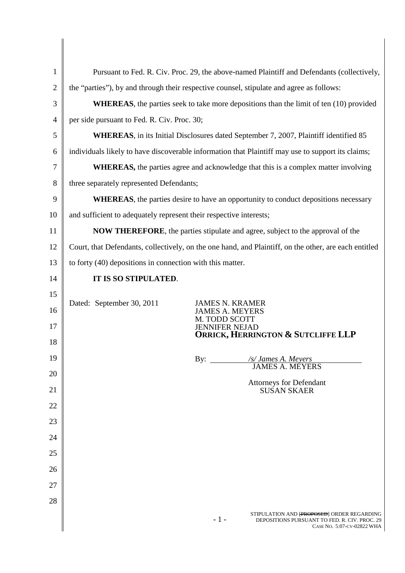| 1              | Pursuant to Fed. R. Civ. Proc. 29, the above-named Plaintiff and Defendants (collectively,            |                                                                                      |
|----------------|-------------------------------------------------------------------------------------------------------|--------------------------------------------------------------------------------------|
| $\overline{2}$ | the "parties"), by and through their respective counsel, stipulate and agree as follows:              |                                                                                      |
| 3              | <b>WHEREAS</b> , the parties seek to take more depositions than the limit of ten (10) provided        |                                                                                      |
| $\overline{4}$ | per side pursuant to Fed. R. Civ. Proc. 30;                                                           |                                                                                      |
| 5              | WHEREAS, in its Initial Disclosures dated September 7, 2007, Plaintiff identified 85                  |                                                                                      |
| 6              | individuals likely to have discoverable information that Plaintiff may use to support its claims;     |                                                                                      |
| 7              | <b>WHEREAS</b> , the parties agree and acknowledge that this is a complex matter involving            |                                                                                      |
| 8              | three separately represented Defendants;                                                              |                                                                                      |
| 9              | <b>WHEREAS</b> , the parties desire to have an opportunity to conduct depositions necessary           |                                                                                      |
| 10             | and sufficient to adequately represent their respective interests;                                    |                                                                                      |
| 11             | <b>NOW THEREFORE</b> , the parties stipulate and agree, subject to the approval of the                |                                                                                      |
| 12             | Court, that Defendants, collectively, on the one hand, and Plaintiff, on the other, are each entitled |                                                                                      |
| 13             | to forty (40) depositions in connection with this matter.                                             |                                                                                      |
| 14             | IT IS SO STIPULATED.                                                                                  |                                                                                      |
| 15             | Dated: September 30, 2011                                                                             | <b>JAMES N. KRAMER</b>                                                               |
| 16             |                                                                                                       | <b>JAMES A. MEYERS</b><br>M. TODD SCOTT                                              |
| 17             |                                                                                                       | <b>JENNIFER NEJAD</b><br><b>ORRICK, HERRINGTON &amp; SUTCLIFFE LLP</b>               |
| 18             |                                                                                                       |                                                                                      |
| 19             |                                                                                                       | By:<br>/s/ James A. Meyers<br><b>JAMES A. MEYERS</b>                                 |
| 20             |                                                                                                       | <b>Attorneys for Defendant</b>                                                       |
| 21             |                                                                                                       | <b>SUSAN SKAER</b>                                                                   |
| 22             |                                                                                                       |                                                                                      |
| 23             |                                                                                                       |                                                                                      |
| 24             |                                                                                                       |                                                                                      |
| 25             |                                                                                                       |                                                                                      |
| 26             |                                                                                                       |                                                                                      |
| 27             |                                                                                                       |                                                                                      |
| 28             |                                                                                                       | STIPULATION AND [PROPOSED] ORDER REGARDING                                           |
|                |                                                                                                       | $-1-$<br>DEPOSITIONS PURSUANT TO FED. R. CIV. PROC. 29<br>CASE NO. 5:07-CV-02822 WHA |